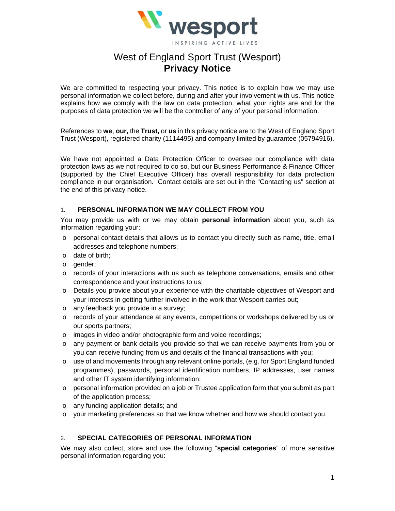

# West of England Sport Trust (Wesport) **Privacy Notice**

We are committed to respecting your privacy. This notice is to explain how we may use personal information we collect before, during and after your involvement with us. This notice explains how we comply with the law on data protection, what your rights are and for the purposes of data protection we will be the controller of any of your personal information.

References to **we**, **our,** the **Trust,** or **us** in this privacy notice are to the West of England Sport Trust (Wesport), registered charity (1114495) and company limited by guarantee (05794916).

We have not appointed a Data Protection Officer to oversee our compliance with data protection laws as we not required to do so, but our Business Performance & Finance Officer (supported by the Chief Executive Officer) has overall responsibility for data protection compliance in our organisation. Contact details are set out in the "Contacting us" section at the end of this privacy notice.

### 1. **PERSONAL INFORMATION WE MAY COLLECT FROM YOU**

You may provide us with or we may obtain **personal information** about you, such as information regarding your:

- o personal contact details that allows us to contact you directly such as name, title, email addresses and telephone numbers;
- o date of birth;
- o gender;
- o records of your interactions with us such as telephone conversations, emails and other correspondence and your instructions to us;
- o Details you provide about your experience with the charitable objectives of Wesport and your interests in getting further involved in the work that Wesport carries out;
- o any feedback you provide in a survey;
- o records of your attendance at any events, competitions or workshops delivered by us or our sports partners;
- o images in video and/or photographic form and voice recordings;
- o any payment or bank details you provide so that we can receive payments from you or you can receive funding from us and details of the financial transactions with you;
- $\circ$  use of and movements through any relevant online portals, (e.g. for Sport England funded programmes), passwords, personal identification numbers, IP addresses, user names and other IT system identifying information;
- $\circ$  personal information provided on a job or Trustee application form that you submit as part of the application process;
- o any funding application details; and
- o your marketing preferences so that we know whether and how we should contact you.

### 2. **SPECIAL CATEGORIES OF PERSONAL INFORMATION**

We may also collect, store and use the following "**special categories**" of more sensitive personal information regarding you: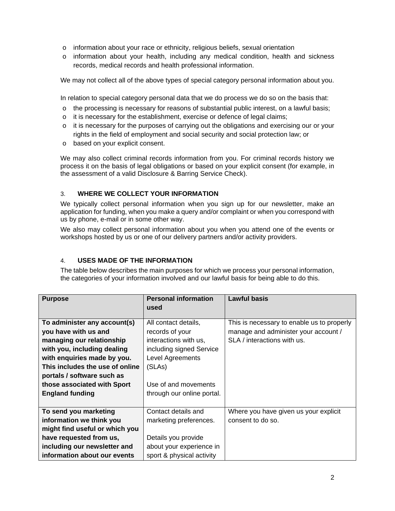- $\circ$  information about your race or ethnicity, religious beliefs, sexual orientation
- $\circ$  information about your health, including any medical condition, health and sickness records, medical records and health professional information.

We may not collect all of the above types of special category personal information about you.

In relation to special category personal data that we do process we do so on the basis that:

- $\circ$  the processing is necessary for reasons of substantial public interest, on a lawful basis;
- o it is necessary for the establishment, exercise or defence of legal claims;
- o it is necessary for the purposes of carrying out the obligations and exercising our or your rights in the field of employment and social security and social protection law; or
- o based on your explicit consent.

We may also collect criminal records information from you. For criminal records history we process it on the basis of legal obligations or based on your explicit consent (for example, in the assessment of a valid Disclosure & Barring Service Check).

# 3. **WHERE WE COLLECT YOUR INFORMATION**

We typically collect personal information when you sign up for our newsletter, make an application for funding, when you make a query and/or complaint or when you correspond with us by phone, e-mail or in some other way.

We also may collect personal information about you when you attend one of the events or workshops hosted by us or one of our delivery partners and/or activity providers.

# 4. **USES MADE OF THE INFORMATION**

The table below describes the main purposes for which we process your personal information, the categories of your information involved and our lawful basis for being able to do this.

| <b>Purpose</b>                  | <b>Personal information</b> | <b>Lawful basis</b>                        |
|---------------------------------|-----------------------------|--------------------------------------------|
|                                 | used                        |                                            |
| To administer any account(s)    | All contact details,        | This is necessary to enable us to properly |
| you have with us and            | records of your             | manage and administer your account /       |
| managing our relationship       | interactions with us,       | SLA / interactions with us.                |
| with you, including dealing     | including signed Service    |                                            |
| with enquiries made by you.     | Level Agreements            |                                            |
| This includes the use of online | (SLAs)                      |                                            |
| portals / software such as      |                             |                                            |
| those associated with Sport     | Use of and movements        |                                            |
| <b>England funding</b>          | through our online portal.  |                                            |
|                                 |                             |                                            |
| To send you marketing           | Contact details and         | Where you have given us your explicit      |
| information we think you        | marketing preferences.      | consent to do so.                          |
| might find useful or which you  |                             |                                            |
| have requested from us,         | Details you provide         |                                            |
| including our newsletter and    | about your experience in    |                                            |
| information about our events    | sport & physical activity   |                                            |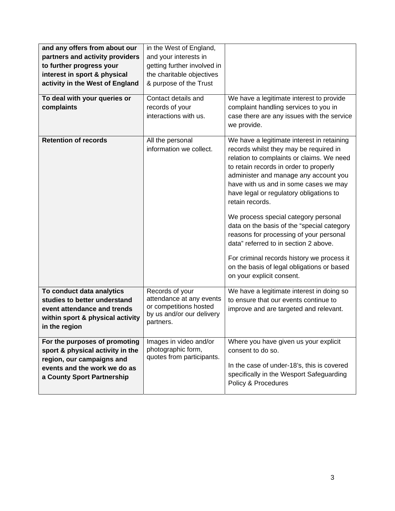| and any offers from about our<br>partners and activity providers<br>to further progress your<br>interest in sport & physical<br>activity in the West of England<br>To deal with your queries or<br>complaints | in the West of England,<br>and your interests in<br>getting further involved in<br>the charitable objectives<br>& purpose of the Trust<br>Contact details and<br>records of your<br>interactions with us. | We have a legitimate interest to provide<br>complaint handling services to you in<br>case there are any issues with the service<br>we provide.                                                                                                                                                                                                                                                                                                                                                                                                                                                                                 |
|---------------------------------------------------------------------------------------------------------------------------------------------------------------------------------------------------------------|-----------------------------------------------------------------------------------------------------------------------------------------------------------------------------------------------------------|--------------------------------------------------------------------------------------------------------------------------------------------------------------------------------------------------------------------------------------------------------------------------------------------------------------------------------------------------------------------------------------------------------------------------------------------------------------------------------------------------------------------------------------------------------------------------------------------------------------------------------|
| <b>Retention of records</b>                                                                                                                                                                                   | All the personal<br>information we collect.                                                                                                                                                               | We have a legitimate interest in retaining<br>records whilst they may be required in<br>relation to complaints or claims. We need<br>to retain records in order to properly<br>administer and manage any account you<br>have with us and in some cases we may<br>have legal or regulatory obligations to<br>retain records.<br>We process special category personal<br>data on the basis of the "special category<br>reasons for processing of your personal<br>data" referred to in section 2 above.<br>For criminal records history we process it<br>on the basis of legal obligations or based<br>on your explicit consent. |
| To conduct data analytics<br>studies to better understand<br>event attendance and trends<br>within sport & physical activity<br>in the region                                                                 | Records of your<br>attendance at any events<br>or competitions hosted<br>by us and/or our delivery<br>partners.                                                                                           | We have a legitimate interest in doing so<br>to ensure that our events continue to<br>improve and are targeted and relevant.                                                                                                                                                                                                                                                                                                                                                                                                                                                                                                   |
| For the purposes of promoting<br>sport & physical activity in the<br>region, our campaigns and<br>events and the work we do as<br>a County Sport Partnership                                                  | Images in video and/or<br>photographic form,<br>quotes from participants.                                                                                                                                 | Where you have given us your explicit<br>consent to do so.<br>In the case of under-18's, this is covered<br>specifically in the Wesport Safeguarding<br>Policy & Procedures                                                                                                                                                                                                                                                                                                                                                                                                                                                    |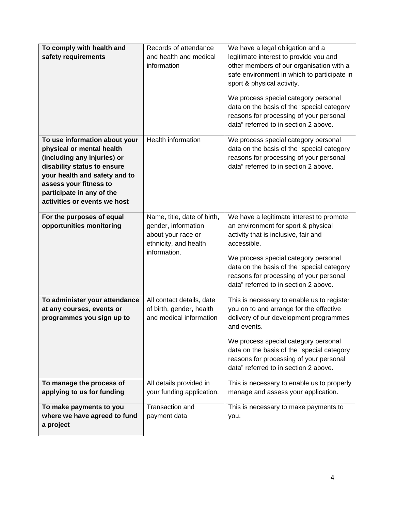| To comply with health and<br>safety requirements                                                                                                                                                                                                 | Records of attendance<br>and health and medical<br>information                                                    | We have a legal obligation and a<br>legitimate interest to provide you and<br>other members of our organisation with a<br>safe environment in which to participate in<br>sport & physical activity.<br>We process special category personal<br>data on the basis of the "special category<br>reasons for processing of your personal<br>data" referred to in section 2 above. |
|--------------------------------------------------------------------------------------------------------------------------------------------------------------------------------------------------------------------------------------------------|-------------------------------------------------------------------------------------------------------------------|-------------------------------------------------------------------------------------------------------------------------------------------------------------------------------------------------------------------------------------------------------------------------------------------------------------------------------------------------------------------------------|
| To use information about your<br>physical or mental health<br>(including any injuries) or<br>disability status to ensure<br>your health and safety and to<br>assess your fitness to<br>participate in any of the<br>activities or events we host | <b>Health information</b>                                                                                         | We process special category personal<br>data on the basis of the "special category<br>reasons for processing of your personal<br>data" referred to in section 2 above.                                                                                                                                                                                                        |
| For the purposes of equal<br>opportunities monitoring                                                                                                                                                                                            | Name, title, date of birth,<br>gender, information<br>about your race or<br>ethnicity, and health<br>information. | We have a legitimate interest to promote<br>an environment for sport & physical<br>activity that is inclusive, fair and<br>accessible.<br>We process special category personal<br>data on the basis of the "special category<br>reasons for processing of your personal<br>data" referred to in section 2 above.                                                              |
| To administer your attendance<br>at any courses, events or<br>programmes you sign up to                                                                                                                                                          | All contact details, date<br>of birth, gender, health<br>and medical information                                  | This is necessary to enable us to register<br>you on to and arrange for the effective<br>delivery of our development programmes<br>and events.<br>We process special category personal<br>data on the basis of the "special category<br>reasons for processing of your personal<br>data" referred to in section 2 above.                                                      |
| To manage the process of                                                                                                                                                                                                                         | All details provided in                                                                                           | This is necessary to enable us to properly                                                                                                                                                                                                                                                                                                                                    |
| applying to us for funding                                                                                                                                                                                                                       | your funding application.                                                                                         | manage and assess your application.                                                                                                                                                                                                                                                                                                                                           |
| To make payments to you<br>where we have agreed to fund<br>a project                                                                                                                                                                             | Transaction and<br>payment data                                                                                   | This is necessary to make payments to<br>you.                                                                                                                                                                                                                                                                                                                                 |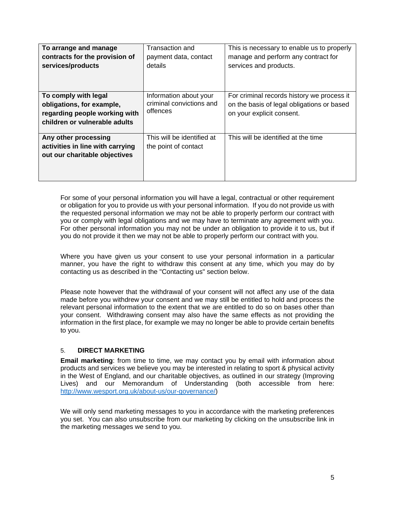| To arrange and manage<br>contracts for the provision of<br>services/products                                        | Transaction and<br>payment data, contact<br>details            | This is necessary to enable us to properly<br>manage and perform any contract for<br>services and products.           |
|---------------------------------------------------------------------------------------------------------------------|----------------------------------------------------------------|-----------------------------------------------------------------------------------------------------------------------|
| To comply with legal<br>obligations, for example,<br>regarding people working with<br>children or vulnerable adults | Information about your<br>criminal convictions and<br>offences | For criminal records history we process it<br>on the basis of legal obligations or based<br>on your explicit consent. |
| Any other processing<br>activities in line with carrying<br>out our charitable objectives                           | This will be identified at<br>the point of contact             | This will be identified at the time                                                                                   |

For some of your personal information you will have a legal, contractual or other requirement or obligation for you to provide us with your personal information. If you do not provide us with the requested personal information we may not be able to properly perform our contract with you or comply with legal obligations and we may have to terminate any agreement with you. For other personal information you may not be under an obligation to provide it to us, but if you do not provide it then we may not be able to properly perform our contract with you.

Where you have given us your consent to use your personal information in a particular manner, you have the right to withdraw this consent at any time, which you may do by contacting us as described in the "Contacting us" section below.

Please note however that the withdrawal of your consent will not affect any use of the data made before you withdrew your consent and we may still be entitled to hold and process the relevant personal information to the extent that we are entitled to do so on bases other than your consent. Withdrawing consent may also have the same effects as not providing the information in the first place, for example we may no longer be able to provide certain benefits to you.

# 5. **DIRECT MARKETING**

**Email marketing**: from time to time, we may contact you by email with information about products and services we believe you may be interested in relating to sport & physical activity in the West of England, and our charitable objectives, as outlined in our strategy (Improving Lives) and our Memorandum of Understanding (both accessible from here: http://www.wesport.org.uk/about-us/our-governance/)

We will only send marketing messages to you in accordance with the marketing preferences you set. You can also unsubscribe from our marketing by clicking on the unsubscribe link in the marketing messages we send to you.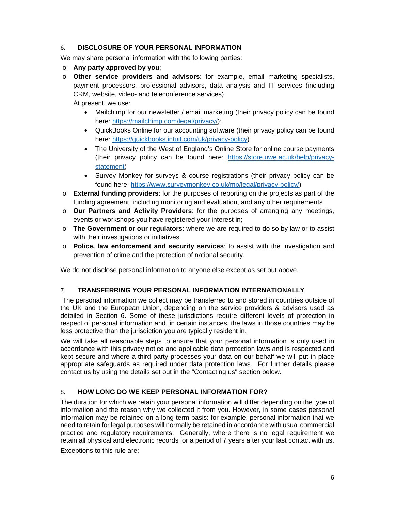## 6. **DISCLOSURE OF YOUR PERSONAL INFORMATION**

We may share personal information with the following parties:

- o **Any party approved by you**;
- o **Other service providers and advisors**: for example, email marketing specialists, payment processors, professional advisors, data analysis and IT services (including CRM, website, video- and teleconference services) At present, we use:
	- Mailchimp for our newsletter / email marketing (their privacy policy can be found here: https://mailchimp.com/legal/privacy/);
	- QuickBooks Online for our accounting software (their privacy policy can be found here: https://quickbooks.intuit.com/uk/privacy-policy)
	- The University of the West of England's Online Store for online course payments (their privacy policy can be found here: https://store.uwe.ac.uk/help/privacystatement)
	- Survey Monkey for surveys & course registrations (their privacy policy can be found here: https://www.surveymonkey.co.uk/mp/legal/privacy-policy/)
- o **External funding providers**: for the purposes of reporting on the projects as part of the funding agreement, including monitoring and evaluation, and any other requirements
- o **Our Partners and Activity Providers**: for the purposes of arranging any meetings, events or workshops you have registered your interest in;
- o **The Government or our regulators**: where we are required to do so by law or to assist with their investigations or initiatives.
- o **Police, law enforcement and security services**: to assist with the investigation and prevention of crime and the protection of national security.

We do not disclose personal information to anyone else except as set out above.

# 7. **TRANSFERRING YOUR PERSONAL INFORMATION INTERNATIONALLY**

 The personal information we collect may be transferred to and stored in countries outside of the UK and the European Union, depending on the service providers & advisors used as detailed in Section 6. Some of these jurisdictions require different levels of protection in respect of personal information and, in certain instances, the laws in those countries may be less protective than the jurisdiction you are typically resident in.

We will take all reasonable steps to ensure that your personal information is only used in accordance with this privacy notice and applicable data protection laws and is respected and kept secure and where a third party processes your data on our behalf we will put in place appropriate safeguards as required under data protection laws. For further details please contact us by using the details set out in the "Contacting us" section below.

# 8. **HOW LONG DO WE KEEP PERSONAL INFORMATION FOR?**

The duration for which we retain your personal information will differ depending on the type of information and the reason why we collected it from you. However, in some cases personal information may be retained on a long-term basis: for example, personal information that we need to retain for legal purposes will normally be retained in accordance with usual commercial practice and regulatory requirements. Generally, where there is no legal requirement we retain all physical and electronic records for a period of 7 years after your last contact with us.

Exceptions to this rule are: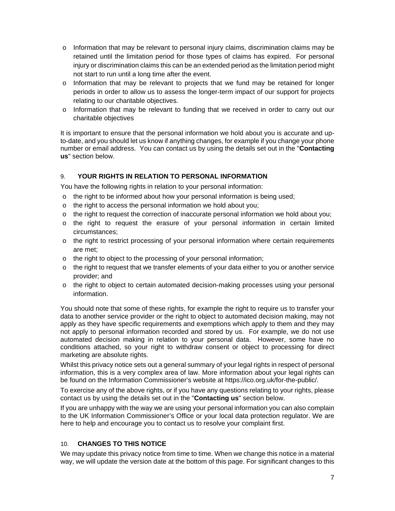- $\circ$  Information that may be relevant to personal injury claims, discrimination claims may be retained until the limitation period for those types of claims has expired. For personal injury or discrimination claims this can be an extended period as the limitation period might not start to run until a long time after the event.
- $\circ$  Information that may be relevant to projects that we fund may be retained for longer periods in order to allow us to assess the longer-term impact of our support for projects relating to our charitable objectives.
- o Information that may be relevant to funding that we received in order to carry out our charitable objectives

It is important to ensure that the personal information we hold about you is accurate and upto-date, and you should let us know if anything changes, for example if you change your phone number or email address. You can contact us by using the details set out in the "**Contacting us**" section below.

## 9. **YOUR RIGHTS IN RELATION TO PERSONAL INFORMATION**

You have the following rights in relation to your personal information:

- $\circ$  the right to be informed about how your personal information is being used;
- o the right to access the personal information we hold about you;
- $\circ$  the right to request the correction of inaccurate personal information we hold about you;
- o the right to request the erasure of your personal information in certain limited circumstances;
- o the right to restrict processing of your personal information where certain requirements are met;
- o the right to object to the processing of your personal information;
- o the right to request that we transfer elements of your data either to you or another service provider; and
- o the right to object to certain automated decision-making processes using your personal information.

You should note that some of these rights, for example the right to require us to transfer your data to another service provider or the right to object to automated decision making, may not apply as they have specific requirements and exemptions which apply to them and they may not apply to personal information recorded and stored by us. For example, we do not use automated decision making in relation to your personal data. However, some have no conditions attached, so your right to withdraw consent or object to processing for direct marketing are absolute rights.

Whilst this privacy notice sets out a general summary of your legal rights in respect of personal information, this is a very complex area of law. More information about your legal rights can be found on the Information Commissioner's website at https://ico.org.uk/for-the-public/.

To exercise any of the above rights, or if you have any questions relating to your rights, please contact us by using the details set out in the "**Contacting us**" section below.

If you are unhappy with the way we are using your personal information you can also complain to the UK Information Commissioner's Office or your local data protection regulator. We are here to help and encourage you to contact us to resolve your complaint first.

### 10. **CHANGES TO THIS NOTICE**

We may update this privacy notice from time to time. When we change this notice in a material way, we will update the version date at the bottom of this page. For significant changes to this